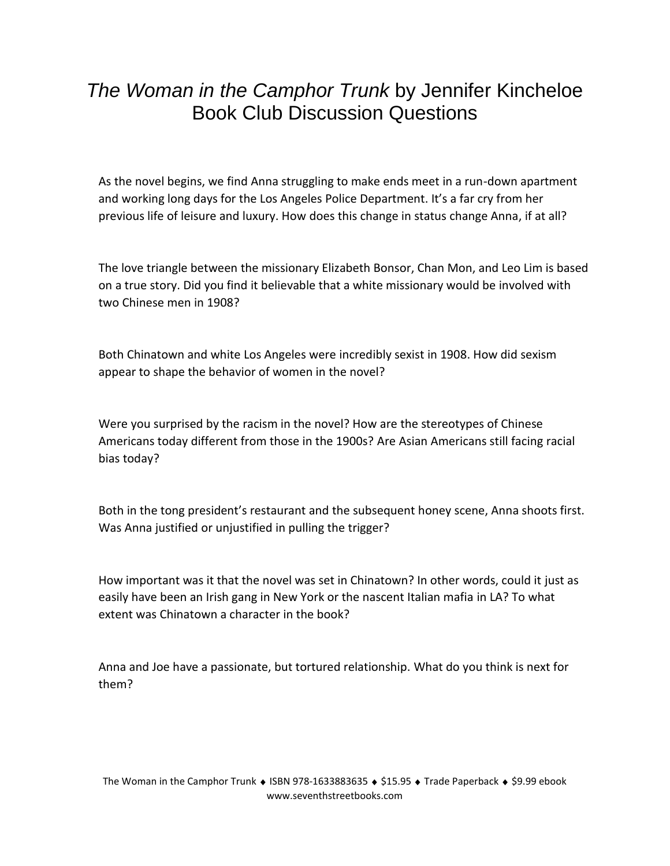## *The Woman in the Camphor Trunk* by Jennifer Kincheloe Book Club Discussion Questions

As the novel begins, we find Anna struggling to make ends meet in a run-down apartment and working long days for the Los Angeles Police Department. It's a far cry from her previous life of leisure and luxury. How does this change in status change Anna, if at all?

The love triangle between the missionary Elizabeth Bonsor, Chan Mon, and Leo Lim is based on a true story. Did you find it believable that a white missionary would be involved with two Chinese men in 1908?

Both Chinatown and white Los Angeles were incredibly sexist in 1908. How did sexism appear to shape the behavior of women in the novel?

Were you surprised by the racism in the novel? How are the stereotypes of Chinese Americans today different from those in the 1900s? Are Asian Americans still facing racial bias today?

Both in the tong president's restaurant and the subsequent honey scene, Anna shoots first. Was Anna justified or unjustified in pulling the trigger?

How important was it that the novel was set in Chinatown? In other words, could it just as easily have been an Irish gang in New York or the nascent Italian mafia in LA? To what extent was Chinatown a character in the book?

Anna and Joe have a passionate, but tortured relationship. What do you think is next for them?